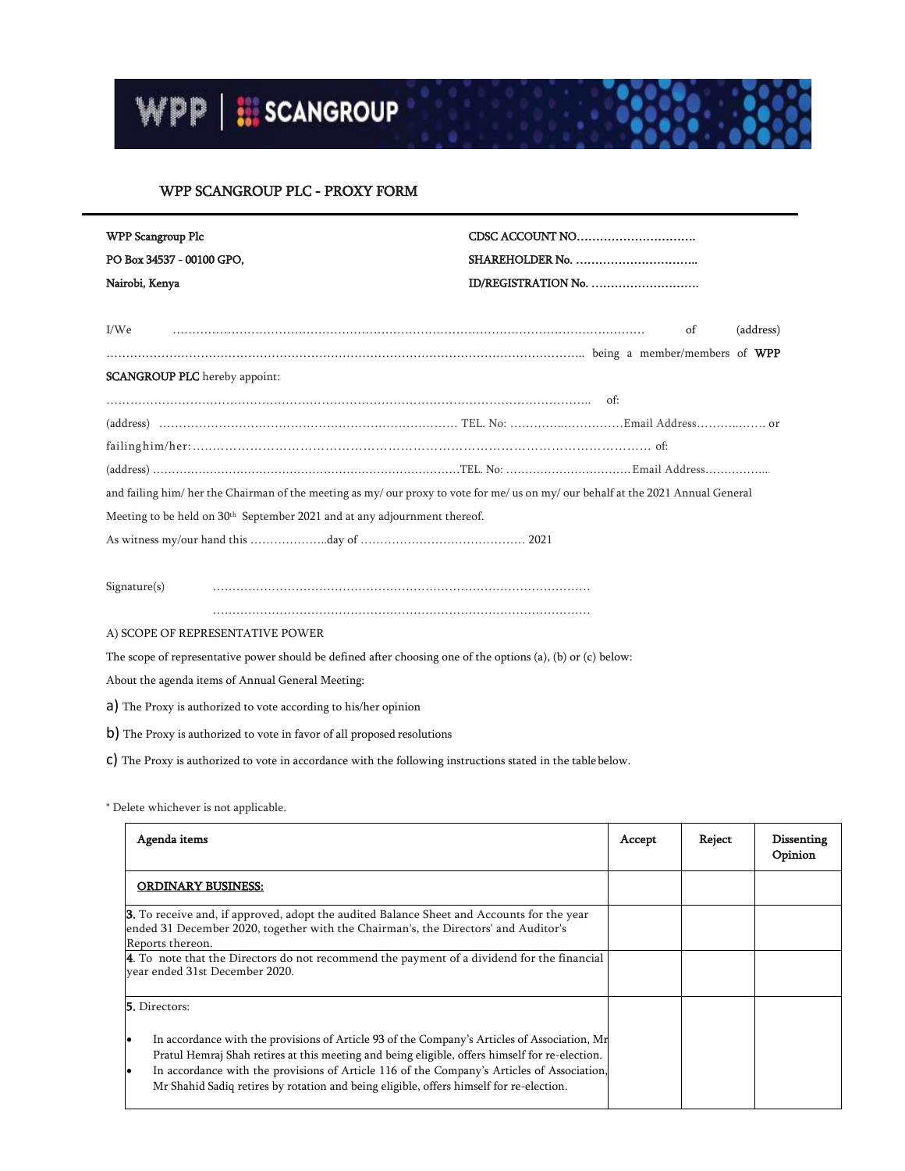## WPP SCANGROUP PLC - PROXY FORM

| WPP Scangroup Plc                                                                                                                 |                     |  |  |  |  |  |
|-----------------------------------------------------------------------------------------------------------------------------------|---------------------|--|--|--|--|--|
| PO Box 34537 - 00100 GPO,                                                                                                         |                     |  |  |  |  |  |
| Nairobi, Kenya                                                                                                                    | ID/REGISTRATION No. |  |  |  |  |  |
|                                                                                                                                   |                     |  |  |  |  |  |
| I/We                                                                                                                              | (address)<br>of     |  |  |  |  |  |
|                                                                                                                                   |                     |  |  |  |  |  |
| <b>SCANGROUP PLC</b> hereby appoint:                                                                                              |                     |  |  |  |  |  |
|                                                                                                                                   | of:                 |  |  |  |  |  |
|                                                                                                                                   |                     |  |  |  |  |  |
|                                                                                                                                   |                     |  |  |  |  |  |
|                                                                                                                                   |                     |  |  |  |  |  |
| and failing him/ her the Chairman of the meeting as my/ our proxy to vote for me/ us on my/ our behalf at the 2021 Annual General |                     |  |  |  |  |  |
| Meeting to be held on 30 <sup>th</sup> September 2021 and at any adjournment thereof.                                             |                     |  |  |  |  |  |
|                                                                                                                                   |                     |  |  |  |  |  |
|                                                                                                                                   |                     |  |  |  |  |  |
| Signature(s)                                                                                                                      |                     |  |  |  |  |  |
|                                                                                                                                   |                     |  |  |  |  |  |

## A) SCOPE OF REPRESENTATIVE POWER

The scope of representative power should be defined after choosing one of the options (a), (b) or (c) below:

About the agenda items of Annual General Meeting:

a) The Proxy is authorized to vote according to his/her opinion

b) The Proxy is authorized to vote in favor of all proposed resolutions

c) The Proxy is authorized to vote in accordance with the following instructions stated in the table below.

|  |  | * Delete whichever is not applicable. |  |
|--|--|---------------------------------------|--|
|  |  |                                       |  |

| Agenda items                                                                                                                                                                                                                                                                                                                                                                            | Accept | Reject | Dissenting<br>Opinion |
|-----------------------------------------------------------------------------------------------------------------------------------------------------------------------------------------------------------------------------------------------------------------------------------------------------------------------------------------------------------------------------------------|--------|--------|-----------------------|
| <b>ORDINARY BUSINESS:</b>                                                                                                                                                                                                                                                                                                                                                               |        |        |                       |
| <b>3.</b> To receive and, if approved, adopt the audited Balance Sheet and Accounts for the year<br>ended 31 December 2020, together with the Chairman's, the Directors' and Auditor's<br>Reports thereon.                                                                                                                                                                              |        |        |                       |
| 4. To note that the Directors do not recommend the payment of a dividend for the financial<br>vear ended 31st December 2020.                                                                                                                                                                                                                                                            |        |        |                       |
| <b>5.</b> Directors:                                                                                                                                                                                                                                                                                                                                                                    |        |        |                       |
| In accordance with the provisions of Article 93 of the Company's Articles of Association, Mr<br>Pratul Hemraj Shah retires at this meeting and being eligible, offers himself for re-election.<br>In accordance with the provisions of Article 116 of the Company's Articles of Association,<br>Mr Shahid Sadiq retires by rotation and being eligible, offers himself for re-election. |        |        |                       |